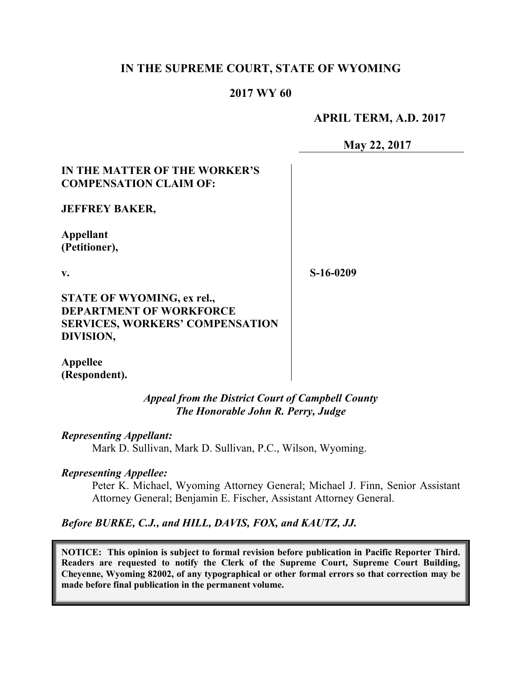# **IN THE SUPREME COURT, STATE OF WYOMING**

### **2017 WY 60**

### **APRIL TERM, A.D. 2017**

**May 22, 2017**

# **IN THE MATTER OF THE WORKER'S COMPENSATION CLAIM OF:**

#### **JEFFREY BAKER,**

**Appellant (Petitioner),**

**v.**

**S-16-0209**

**STATE OF WYOMING, ex rel., DEPARTMENT OF WORKFORCE SERVICES, WORKERS' COMPENSATION DIVISION,**

**Appellee (Respondent).**

> *Appeal from the District Court of Campbell County The Honorable John R. Perry, Judge*

### *Representing Appellant:*

Mark D. Sullivan, Mark D. Sullivan, P.C., Wilson, Wyoming.

### *Representing Appellee:*

Peter K. Michael, Wyoming Attorney General; Michael J. Finn, Senior Assistant Attorney General; Benjamin E. Fischer, Assistant Attorney General.

### *Before BURKE, C.J., and HILL, DAVIS, FOX, and KAUTZ, JJ.*

**NOTICE: This opinion is subject to formal revision before publication in Pacific Reporter Third. Readers are requested to notify the Clerk of the Supreme Court, Supreme Court Building, Cheyenne, Wyoming 82002, of any typographical or other formal errors so that correction may be made before final publication in the permanent volume.**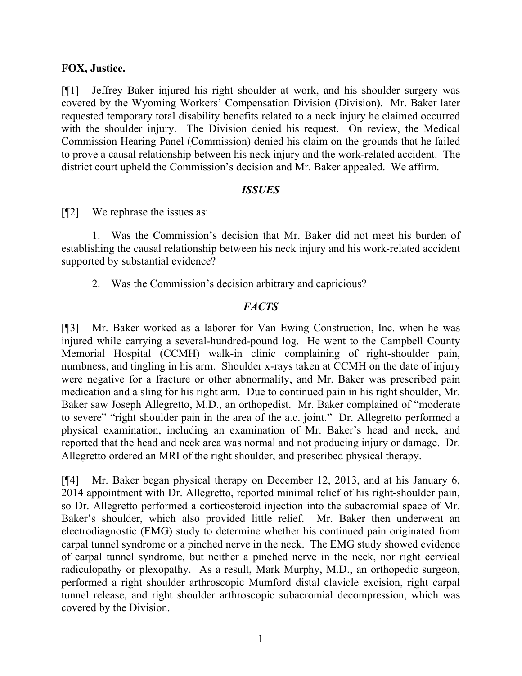# **FOX, Justice.**

[¶1] Jeffrey Baker injured his right shoulder at work, and his shoulder surgery was covered by the Wyoming Workers' Compensation Division (Division). Mr. Baker later requested temporary total disability benefits related to a neck injury he claimed occurred with the shoulder injury. The Division denied his request. On review, the Medical Commission Hearing Panel (Commission) denied his claim on the grounds that he failed to prove a causal relationship between his neck injury and the work-related accident. The district court upheld the Commission's decision and Mr. Baker appealed. We affirm.

### *ISSUES*

[¶2] We rephrase the issues as:

1. Was the Commission's decision that Mr. Baker did not meet his burden of establishing the causal relationship between his neck injury and his work-related accident supported by substantial evidence?

2. Was the Commission's decision arbitrary and capricious?

# *FACTS*

[¶3] Mr. Baker worked as a laborer for Van Ewing Construction, Inc. when he was injured while carrying a several-hundred-pound log. He went to the Campbell County Memorial Hospital (CCMH) walk-in clinic complaining of right-shoulder pain, numbness, and tingling in his arm. Shoulder x-rays taken at CCMH on the date of injury were negative for a fracture or other abnormality, and Mr. Baker was prescribed pain medication and a sling for his right arm. Due to continued pain in his right shoulder, Mr. Baker saw Joseph Allegretto, M.D., an orthopedist. Mr. Baker complained of "moderate to severe" "right shoulder pain in the area of the a.c. joint." Dr. Allegretto performed a physical examination, including an examination of Mr. Baker's head and neck, and reported that the head and neck area was normal and not producing injury or damage. Dr. Allegretto ordered an MRI of the right shoulder, and prescribed physical therapy.

[¶4] Mr. Baker began physical therapy on December 12, 2013, and at his January 6, 2014 appointment with Dr. Allegretto, reported minimal relief of his right-shoulder pain, so Dr. Allegretto performed a corticosteroid injection into the subacromial space of Mr. Baker's shoulder, which also provided little relief. Mr. Baker then underwent an electrodiagnostic (EMG) study to determine whether his continued pain originated from carpal tunnel syndrome or a pinched nerve in the neck. The EMG study showed evidence of carpal tunnel syndrome, but neither a pinched nerve in the neck, nor right cervical radiculopathy or plexopathy. As a result, Mark Murphy, M.D., an orthopedic surgeon, performed a right shoulder arthroscopic Mumford distal clavicle excision, right carpal tunnel release, and right shoulder arthroscopic subacromial decompression, which was covered by the Division.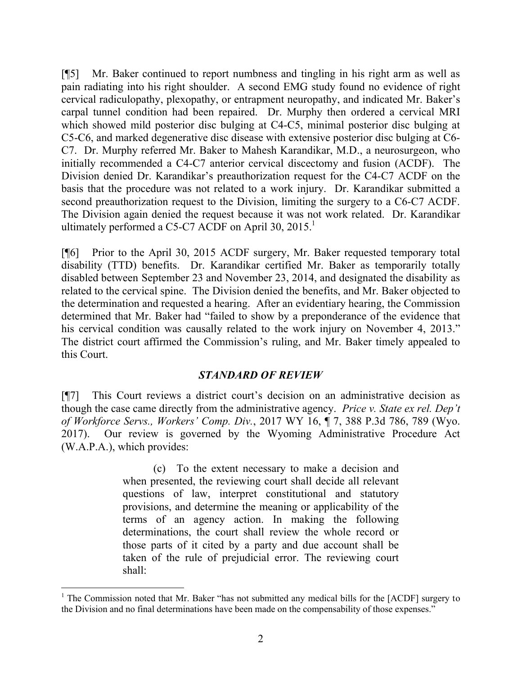[¶5] Mr. Baker continued to report numbness and tingling in his right arm as well as pain radiating into his right shoulder. A second EMG study found no evidence of right cervical radiculopathy, plexopathy, or entrapment neuropathy, and indicated Mr. Baker's carpal tunnel condition had been repaired. Dr. Murphy then ordered a cervical MRI which showed mild posterior disc bulging at C4-C5, minimal posterior disc bulging at C5-C6, and marked degenerative disc disease with extensive posterior disc bulging at C6- C7. Dr. Murphy referred Mr. Baker to Mahesh Karandikar, M.D., a neurosurgeon, who initially recommended a C4-C7 anterior cervical discectomy and fusion (ACDF). The Division denied Dr. Karandikar's preauthorization request for the C4-C7 ACDF on the basis that the procedure was not related to a work injury. Dr. Karandikar submitted a second preauthorization request to the Division, limiting the surgery to a C6-C7 ACDF. The Division again denied the request because it was not work related. Dr. Karandikar ultimately performed a C5-C7 ACDF on April 30, 2015.<sup>1</sup>

[¶6] Prior to the April 30, 2015 ACDF surgery, Mr. Baker requested temporary total disability (TTD) benefits. Dr. Karandikar certified Mr. Baker as temporarily totally disabled between September 23 and November 23, 2014, and designated the disability as related to the cervical spine. The Division denied the benefits, and Mr. Baker objected to the determination and requested a hearing. After an evidentiary hearing, the Commission determined that Mr. Baker had "failed to show by a preponderance of the evidence that his cervical condition was causally related to the work injury on November 4, 2013." The district court affirmed the Commission's ruling, and Mr. Baker timely appealed to this Court.

# *STANDARD OF REVIEW*

[¶7] This Court reviews a district court's decision on an administrative decision as though the case came directly from the administrative agency. *Price v. State ex rel. Dep't of Workforce Servs., Workers' Comp. Div.*, 2017 WY 16, ¶ 7, 388 P.3d 786, 789 (Wyo. 2017). Our review is governed by the Wyoming Administrative Procedure Act (W.A.P.A.), which provides:

> (c) To the extent necessary to make a decision and when presented, the reviewing court shall decide all relevant questions of law, interpret constitutional and statutory provisions, and determine the meaning or applicability of the terms of an agency action. In making the following determinations, the court shall review the whole record or those parts of it cited by a party and due account shall be taken of the rule of prejudicial error. The reviewing court shall:

<sup>&</sup>lt;sup>1</sup> The Commission noted that Mr. Baker "has not submitted any medical bills for the [ACDF] surgery to the Division and no final determinations have been made on the compensability of those expenses."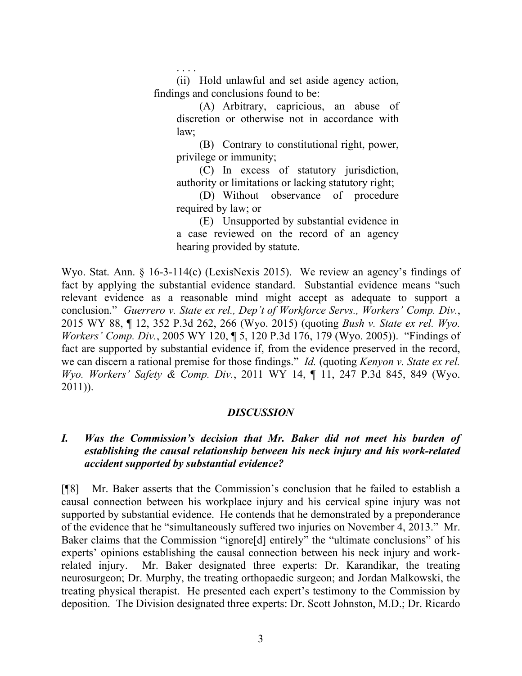. . . . (ii) Hold unlawful and set aside agency action, findings and conclusions found to be:

(A) Arbitrary, capricious, an abuse of discretion or otherwise not in accordance with law;

(B) Contrary to constitutional right, power, privilege or immunity;

(C) In excess of statutory jurisdiction, authority or limitations or lacking statutory right;

(D) Without observance of procedure required by law; or

(E) Unsupported by substantial evidence in a case reviewed on the record of an agency hearing provided by statute.

Wyo. Stat. Ann. § 16-3-114(c) (LexisNexis 2015). We review an agency's findings of fact by applying the substantial evidence standard. Substantial evidence means "such relevant evidence as a reasonable mind might accept as adequate to support a conclusion." *Guerrero v. State ex rel., Dep't of Workforce Servs., Workers' Comp. Div.*, 2015 WY 88, ¶ 12, 352 P.3d 262, 266 (Wyo. 2015) (quoting *Bush v. State ex rel. Wyo. Workers' Comp. Div.*, 2005 WY 120, ¶ 5, 120 P.3d 176, 179 (Wyo. 2005)). "Findings of fact are supported by substantial evidence if, from the evidence preserved in the record, we can discern a rational premise for those findings." *Id.* (quoting *Kenyon v. State ex rel. Wyo. Workers' Safety & Comp. Div.*, 2011 WY 14, ¶ 11, 247 P.3d 845, 849 (Wyo. 2011)).

# *DISCUSSION*

# *I. Was the Commission's decision that Mr. Baker did not meet his burden of establishing the causal relationship between his neck injury and his work-related accident supported by substantial evidence?*

[¶8] Mr. Baker asserts that the Commission's conclusion that he failed to establish a causal connection between his workplace injury and his cervical spine injury was not supported by substantial evidence. He contends that he demonstrated by a preponderance of the evidence that he "simultaneously suffered two injuries on November 4, 2013." Mr. Baker claims that the Commission "ignore[d] entirely" the "ultimate conclusions" of his experts' opinions establishing the causal connection between his neck injury and workrelated injury. Mr. Baker designated three experts: Dr. Karandikar, the treating neurosurgeon; Dr. Murphy, the treating orthopaedic surgeon; and Jordan Malkowski, the treating physical therapist. He presented each expert's testimony to the Commission by deposition. The Division designated three experts: Dr. Scott Johnston, M.D.; Dr. Ricardo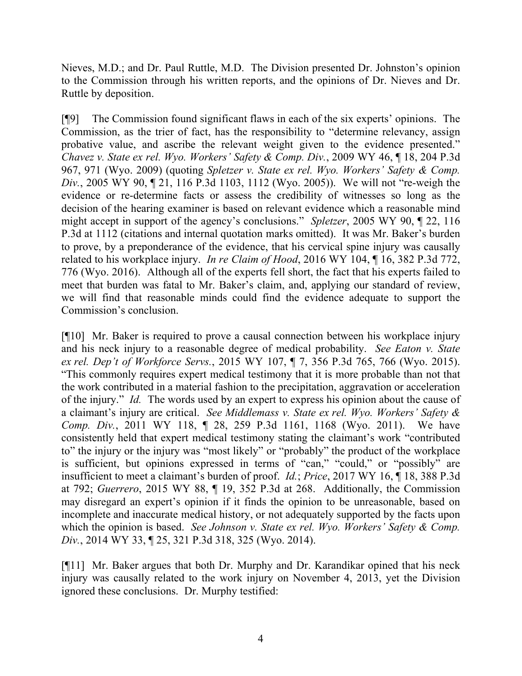Nieves, M.D.; and Dr. Paul Ruttle, M.D. The Division presented Dr. Johnston's opinion to the Commission through his written reports, and the opinions of Dr. Nieves and Dr. Ruttle by deposition.

[¶9] The Commission found significant flaws in each of the six experts' opinions.The Commission, as the trier of fact, has the responsibility to "determine relevancy, assign probative value, and ascribe the relevant weight given to the evidence presented." *Chavez v. State ex rel. Wyo. Workers' Safety & Comp. Div.*, 2009 WY 46, ¶ 18, 204 P.3d 967, 971 (Wyo. 2009) (quoting *Spletzer v. State ex rel. Wyo. Workers' Safety & Comp. Div.*, 2005 WY 90, ¶ 21, 116 P.3d 1103, 1112 (Wyo. 2005)). We will not "re-weigh the evidence or re-determine facts or assess the credibility of witnesses so long as the decision of the hearing examiner is based on relevant evidence which a reasonable mind might accept in support of the agency's conclusions." *Spletzer*, 2005 WY 90, ¶ 22, 116 P.3d at 1112 (citations and internal quotation marks omitted).It was Mr. Baker's burden to prove, by a preponderance of the evidence, that his cervical spine injury was causally related to his workplace injury. *In re Claim of Hood*, 2016 WY 104, ¶ 16, 382 P.3d 772, 776 (Wyo. 2016). Although all of the experts fell short, the fact that his experts failed to meet that burden was fatal to Mr. Baker's claim, and, applying our standard of review, we will find that reasonable minds could find the evidence adequate to support the Commission's conclusion.

[¶10] Mr. Baker is required to prove a causal connection between his workplace injury and his neck injury to a reasonable degree of medical probability. *See Eaton v. State ex rel. Dep't of Workforce Servs.*, 2015 WY 107, ¶ 7, 356 P.3d 765, 766 (Wyo. 2015). "This commonly requires expert medical testimony that it is more probable than not that the work contributed in a material fashion to the precipitation, aggravation or acceleration of the injury." *Id.* The words used by an expert to express his opinion about the cause of a claimant's injury are critical. *See Middlemass v. State ex rel. Wyo. Workers' Safety & Comp. Div.*, 2011 WY 118, ¶ 28, 259 P.3d 1161, 1168 (Wyo. 2011). We have consistently held that expert medical testimony stating the claimant's work "contributed to" the injury or the injury was "most likely" or "probably" the product of the workplace is sufficient, but opinions expressed in terms of "can," "could," or "possibly" are insufficient to meet a claimant's burden of proof. *Id.*; *Price*, 2017 WY 16, ¶ 18, 388 P.3d at 792; *Guerrero*, 2015 WY 88, ¶ 19, 352 P.3d at 268. Additionally, the Commission may disregard an expert's opinion if it finds the opinion to be unreasonable, based on incomplete and inaccurate medical history, or not adequately supported by the facts upon which the opinion is based. *See Johnson v. State ex rel. Wyo. Workers' Safety & Comp. Div.*, 2014 WY 33, ¶ 25, 321 P.3d 318, 325 (Wyo. 2014).

[¶11] Mr. Baker argues that both Dr. Murphy and Dr. Karandikar opined that his neck injury was causally related to the work injury on November 4, 2013, yet the Division ignored these conclusions. Dr. Murphy testified: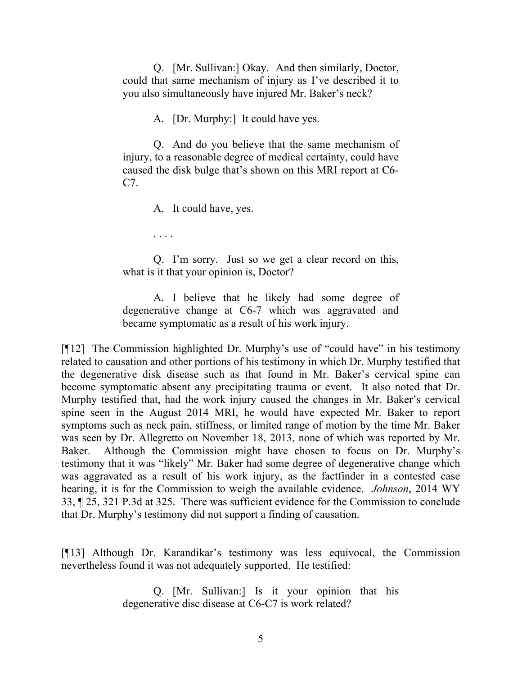Q. [Mr. Sullivan:] Okay. And then similarly, Doctor, could that same mechanism of injury as I've described it to you also simultaneously have injured Mr. Baker's neck?

A. [Dr. Murphy:] It could have yes.

Q. And do you believe that the same mechanism of injury, to a reasonable degree of medical certainty, could have caused the disk bulge that's shown on this MRI report at C6- C7.

A. It could have, yes.

. . . .

Q. I'm sorry. Just so we get a clear record on this, what is it that your opinion is, Doctor?

A. I believe that he likely had some degree of degenerative change at C6-7 which was aggravated and became symptomatic as a result of his work injury.

[¶12] The Commission highlighted Dr. Murphy's use of "could have" in his testimony related to causation and other portions of his testimony in which Dr. Murphy testified that the degenerative disk disease such as that found in Mr. Baker's cervical spine can become symptomatic absent any precipitating trauma or event. It also noted that Dr. Murphy testified that, had the work injury caused the changes in Mr. Baker's cervical spine seen in the August 2014 MRI, he would have expected Mr. Baker to report symptoms such as neck pain, stiffness, or limited range of motion by the time Mr. Baker was seen by Dr. Allegretto on November 18, 2013, none of which was reported by Mr. Baker. Although the Commission might have chosen to focus on Dr. Murphy's testimony that it was "likely" Mr. Baker had some degree of degenerative change which was aggravated as a result of his work injury, as the factfinder in a contested case hearing, it is for the Commission to weigh the available evidence. *Johnson*, 2014 WY 33, ¶ 25, 321 P.3d at 325. There was sufficient evidence for the Commission to conclude that Dr. Murphy's testimony did not support a finding of causation.

[¶13] Although Dr. Karandikar's testimony was less equivocal, the Commission nevertheless found it was not adequately supported. He testified:

> Q. [Mr. Sullivan:] Is it your opinion that his degenerative disc disease at C6-C7 is work related?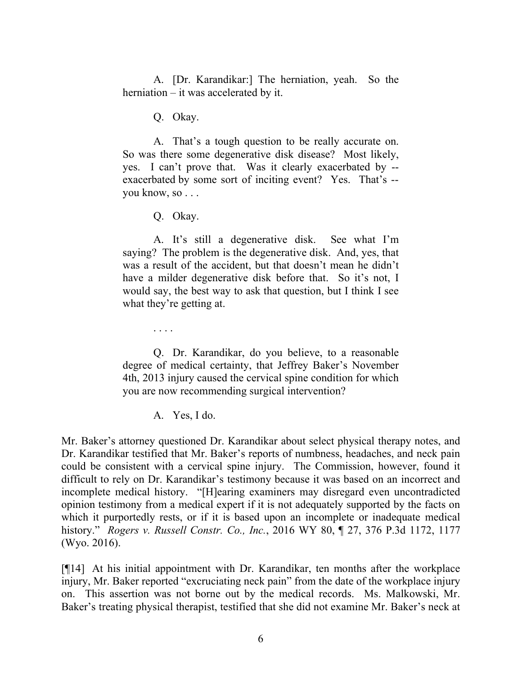A. [Dr. Karandikar:] The herniation, yeah. So the herniation – it was accelerated by it.

Q. Okay.

A. That's a tough question to be really accurate on. So was there some degenerative disk disease? Most likely, yes. I can't prove that. Was it clearly exacerbated by - exacerbated by some sort of inciting event? Yes. That's - you know, so . . .

Q. Okay.

. . . .

A. It's still a degenerative disk. See what I'm saying? The problem is the degenerative disk. And, yes, that was a result of the accident, but that doesn't mean he didn't have a milder degenerative disk before that. So it's not, I would say, the best way to ask that question, but I think I see what they're getting at.

Q. Dr. Karandikar, do you believe, to a reasonable degree of medical certainty, that Jeffrey Baker's November 4th, 2013 injury caused the cervical spine condition for which you are now recommending surgical intervention?

A. Yes, I do.

Mr. Baker's attorney questioned Dr. Karandikar about select physical therapy notes, and Dr. Karandikar testified that Mr. Baker's reports of numbness, headaches, and neck pain could be consistent with a cervical spine injury. The Commission, however, found it difficult to rely on Dr. Karandikar's testimony because it was based on an incorrect and incomplete medical history. "[H]earing examiners may disregard even uncontradicted opinion testimony from a medical expert if it is not adequately supported by the facts on which it purportedly rests, or if it is based upon an incomplete or inadequate medical history." *Rogers v. Russell Constr. Co., Inc.*, 2016 WY 80, ¶ 27, 376 P.3d 1172, 1177 (Wyo. 2016).

[¶14] At his initial appointment with Dr. Karandikar, ten months after the workplace injury, Mr. Baker reported "excruciating neck pain" from the date of the workplace injury on. This assertion was not borne out by the medical records. Ms. Malkowski, Mr. Baker's treating physical therapist, testified that she did not examine Mr. Baker's neck at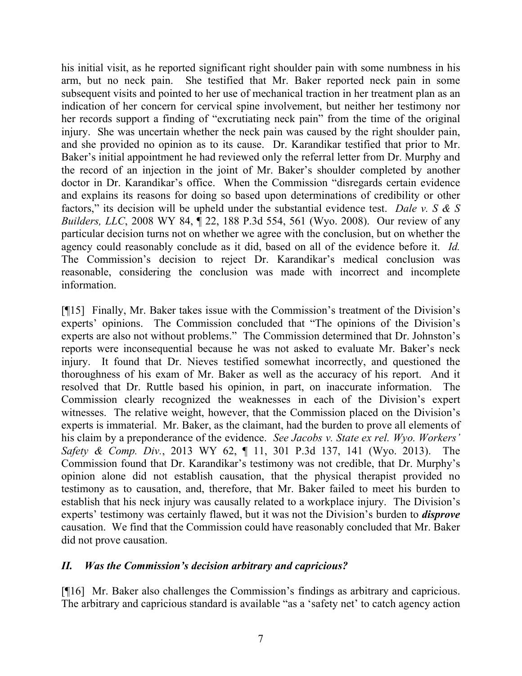his initial visit, as he reported significant right shoulder pain with some numbness in his arm, but no neck pain. She testified that Mr. Baker reported neck pain in some subsequent visits and pointed to her use of mechanical traction in her treatment plan as an indication of her concern for cervical spine involvement, but neither her testimony nor her records support a finding of "excrutiating neck pain" from the time of the original injury. She was uncertain whether the neck pain was caused by the right shoulder pain, and she provided no opinion as to its cause. Dr. Karandikar testified that prior to Mr. Baker's initial appointment he had reviewed only the referral letter from Dr. Murphy and the record of an injection in the joint of Mr. Baker's shoulder completed by another doctor in Dr. Karandikar's office. When the Commission "disregards certain evidence and explains its reasons for doing so based upon determinations of credibility or other factors," its decision will be upheld under the substantial evidence test. *Dale v. S & S Builders, LLC*, 2008 WY 84, ¶ 22, 188 P.3d 554, 561 (Wyo. 2008). Our review of any particular decision turns not on whether we agree with the conclusion, but on whether the agency could reasonably conclude as it did, based on all of the evidence before it. *Id.* The Commission's decision to reject Dr. Karandikar's medical conclusion was reasonable, considering the conclusion was made with incorrect and incomplete information.

[¶15] Finally, Mr. Baker takes issue with the Commission's treatment of the Division's experts' opinions. The Commission concluded that "The opinions of the Division's experts are also not without problems." The Commission determined that Dr. Johnston's reports were inconsequential because he was not asked to evaluate Mr. Baker's neck injury. It found that Dr. Nieves testified somewhat incorrectly, and questioned the thoroughness of his exam of Mr. Baker as well as the accuracy of his report. And it resolved that Dr. Ruttle based his opinion, in part, on inaccurate information. The Commission clearly recognized the weaknesses in each of the Division's expert witnesses. The relative weight, however, that the Commission placed on the Division's experts is immaterial. Mr. Baker, as the claimant, had the burden to prove all elements of his claim by a preponderance of the evidence. *See Jacobs v. State ex rel. Wyo. Workers' Safety & Comp. Div.*, 2013 WY 62, ¶ 11, 301 P.3d 137, 141 (Wyo. 2013). The Commission found that Dr. Karandikar's testimony was not credible, that Dr. Murphy's opinion alone did not establish causation, that the physical therapist provided no testimony as to causation, and, therefore, that Mr. Baker failed to meet his burden to establish that his neck injury was causally related to a workplace injury. The Division's experts' testimony was certainly flawed, but it was not the Division's burden to *disprove* causation. We find that the Commission could have reasonably concluded that Mr. Baker did not prove causation.

# *II. Was the Commission's decision arbitrary and capricious?*

[¶16] Mr. Baker also challenges the Commission's findings as arbitrary and capricious. The arbitrary and capricious standard is available "as a 'safety net' to catch agency action